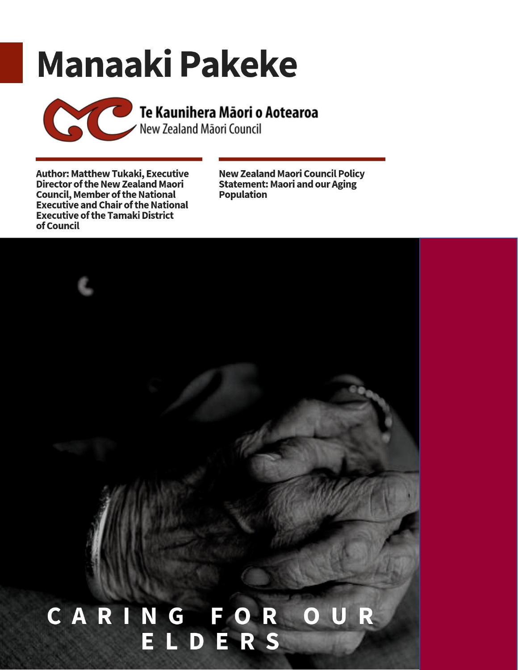# **Manaaki Pakeke**

Te Kaunihera Māori o Aotearoa

**Author: Matthew Tukaki, Executive Director of the New Zealand Maori Council, Member of the National Executive and Chair of the National Executive of the Tamaki District** of Council

**New Zealand Maori Council Policy Statement: Maori and our Aging Population** 

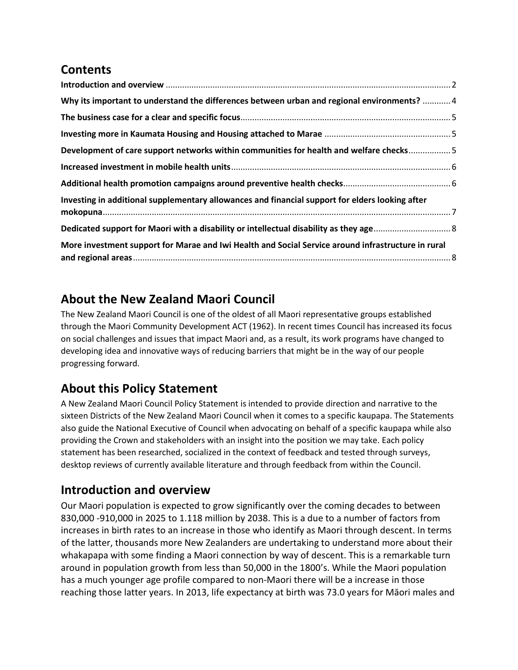## **Contents**

| Why its important to understand the differences between urban and regional environments?  4        |  |
|----------------------------------------------------------------------------------------------------|--|
|                                                                                                    |  |
|                                                                                                    |  |
| Development of care support networks within communities for health and welfare checks5             |  |
|                                                                                                    |  |
|                                                                                                    |  |
| Investing in additional supplementary allowances and financial support for elders looking after    |  |
|                                                                                                    |  |
| More investment support for Marae and Iwi Health and Social Service around infrastructure in rural |  |

#### <span id="page-1-0"></span>**About the New Zealand Maori Council**

The New Zealand Maori Council is one of the oldest of all Maori representative groups established through the Maori Community Development ACT (1962). In recent times Council has increased its focus on social challenges and issues that impact Maori and, as a result, its work programs have changed to developing idea and innovative ways of reducing barriers that might be in the way of our people progressing forward.

#### **About this Policy Statement**

A New Zealand Maori Council Policy Statement is intended to provide direction and narrative to the sixteen Districts of the New Zealand Maori Council when it comes to a specific kaupapa. The Statements also guide the National Executive of Council when advocating on behalf of a specific kaupapa while also providing the Crown and stakeholders with an insight into the position we may take. Each policy statement has been researched, socialized in the context of feedback and tested through surveys, desktop reviews of currently available literature and through feedback from within the Council.

#### **Introduction and overview**

Our Maori population is expected to grow significantly over the coming decades to between 830,000 -910,000 in 2025 to 1.118 million by 2038. This is a due to a number of factors from increases in birth rates to an increase in those who identify as Maori through descent. In terms of the latter, thousands more New Zealanders are undertaking to understand more about their whakapapa with some finding a Maori connection by way of descent. This is a remarkable turn around in population growth from less than 50,000 in the 1800's. While the Maori population has a much younger age profile compared to non-Maori there will be a increase in those reaching those latter years. In 2013, life expectancy at birth was 73.0 years for Māori males and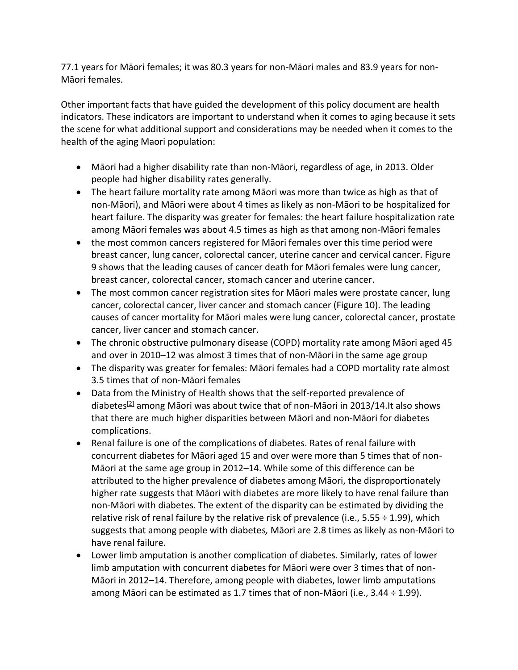77.1 years for Māori females; it was 80.3 years for non-Māori males and 83.9 years for non-Māori females.

Other important facts that have guided the development of this policy document are health indicators. These indicators are important to understand when it comes to aging because it sets the scene for what additional support and considerations may be needed when it comes to the health of the aging Maori population:

- Māori had a higher disability rate than non-Māori, regardless of age, in 2013. Older people had higher disability rates generally.
- The heart failure mortality rate among Māori was more than twice as high as that of non-Māori), and Māori were about 4 times as likely as non-Māori to be hospitalized for heart failure. The disparity was greater for females: the heart failure hospitalization rate among Māori females was about 4.5 times as high as that among non-Māori females
- the most common cancers registered for Māori females over this time period were breast cancer, lung cancer, colorectal cancer, uterine cancer and cervical cancer. Figure 9 shows that the leading causes of cancer death for Māori females were lung cancer, breast cancer, colorectal cancer, stomach cancer and uterine cancer.
- The most common cancer registration sites for Māori males were prostate cancer, lung cancer, colorectal cancer, liver cancer and stomach cancer (Figure 10). The leading causes of cancer mortality for Māori males were lung cancer, colorectal cancer, prostate cancer, liver cancer and stomach cancer.
- The chronic obstructive pulmonary disease (COPD) mortality rate among Māori aged 45 and over in 2010–12 was almost 3 times that of non-Māori in the same age group
- The disparity was greater for females: Māori females had a COPD mortality rate almost 3.5 times that of non-Māori females
- Data from the Ministry of Health shows that the self-reported prevalence of diabetes<sup>[\[2\]](https://www.health.govt.nz/our-work/populations/maori-health/tatau-kahukura-maori-health-statistics/nga-mana-hauora-tutohu-health-status-indicators/diabetes#2)</sup> among Māori was about twice that of non-Māori in 2013/14.It also shows that there are much higher disparities between Māori and non-Māori for diabetes complications.
- Renal failure is one of the complications of diabetes. Rates of renal failure with concurrent diabetes for Māori aged 15 and over were more than 5 times that of non-Māori at the same age group in 2012–14. While some of this difference can be attributed to the higher prevalence of diabetes among Māori, the disproportionately higher rate suggests that Māori with diabetes are more likely to have renal failure than non-Māori with diabetes. The extent of the disparity can be estimated by dividing the relative risk of renal failure by the relative risk of prevalence (i.e.,  $5.55 \div 1.99$ ), which suggests that among people with diabetes*,* Māori are 2.8 times as likely as non-Māori to have renal failure.
- Lower limb amputation is another complication of diabetes. Similarly, rates of lower limb amputation with concurrent diabetes for Māori were over 3 times that of non-Māori in 2012–14. Therefore, among people with diabetes, lower limb amputations among Māori can be estimated as 1.7 times that of non-Māori (i.e., 3.44 ÷ 1.99).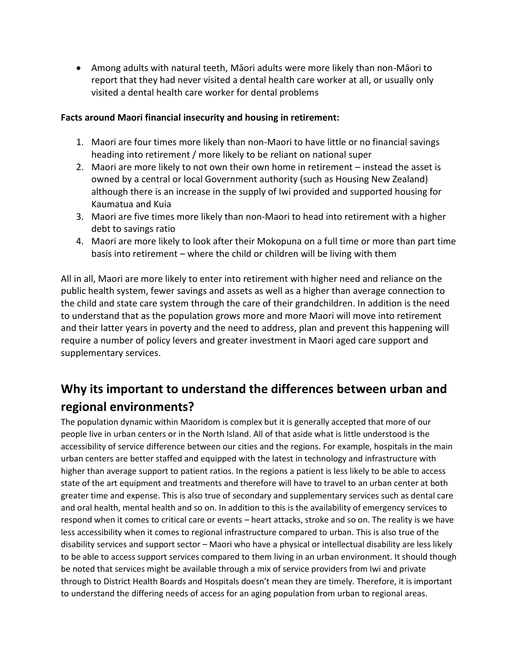• Among adults with natural teeth, Māori adults were more likely than non-Māori to report that they had never visited a dental health care worker at all, or usually only visited a dental health care worker for dental problems

#### **Facts around Maori financial insecurity and housing in retirement:**

- 1. Maori are four times more likely than non-Maori to have little or no financial savings heading into retirement / more likely to be reliant on national super
- 2. Maori are more likely to not own their own home in retirement instead the asset is owned by a central or local Government authority (such as Housing New Zealand) although there is an increase in the supply of Iwi provided and supported housing for Kaumatua and Kuia
- 3. Maori are five times more likely than non-Maori to head into retirement with a higher debt to savings ratio
- 4. Maori are more likely to look after their Mokopuna on a full time or more than part time basis into retirement – where the child or children will be living with them

All in all, Maori are more likely to enter into retirement with higher need and reliance on the public health system, fewer savings and assets as well as a higher than average connection to the child and state care system through the care of their grandchildren. In addition is the need to understand that as the population grows more and more Maori will move into retirement and their latter years in poverty and the need to address, plan and prevent this happening will require a number of policy levers and greater investment in Maori aged care support and supplementary services.

## <span id="page-3-0"></span>**Why its important to understand the differences between urban and regional environments?**

The population dynamic within Maoridom is complex but it is generally accepted that more of our people live in urban centers or in the North Island. All of that aside what is little understood is the accessibility of service difference between our cities and the regions. For example, hospitals in the main urban centers are better staffed and equipped with the latest in technology and infrastructure with higher than average support to patient ratios. In the regions a patient is less likely to be able to access state of the art equipment and treatments and therefore will have to travel to an urban center at both greater time and expense. This is also true of secondary and supplementary services such as dental care and oral health, mental health and so on. In addition to this is the availability of emergency services to respond when it comes to critical care or events – heart attacks, stroke and so on. The reality is we have less accessibility when it comes to regional infrastructure compared to urban. This is also true of the disability services and support sector – Maori who have a physical or intellectual disability are less likely to be able to access support services compared to them living in an urban environment. It should though be noted that services might be available through a mix of service providers from Iwi and private through to District Health Boards and Hospitals doesn't mean they are timely. Therefore, it is important to understand the differing needs of access for an aging population from urban to regional areas.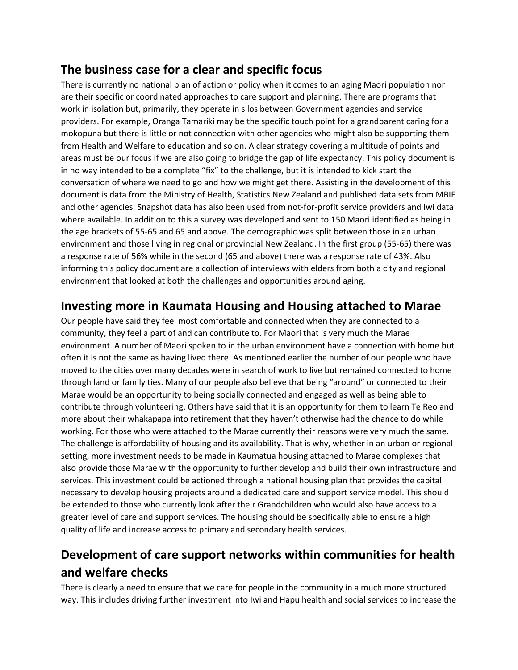#### <span id="page-4-0"></span>**The business case for a clear and specific focus**

There is currently no national plan of action or policy when it comes to an aging Maori population nor are their specific or coordinated approaches to care support and planning. There are programs that work in isolation but, primarily, they operate in silos between Government agencies and service providers. For example, Oranga Tamariki may be the specific touch point for a grandparent caring for a mokopuna but there is little or not connection with other agencies who might also be supporting them from Health and Welfare to education and so on. A clear strategy covering a multitude of points and areas must be our focus if we are also going to bridge the gap of life expectancy. This policy document is in no way intended to be a complete "fix" to the challenge, but it is intended to kick start the conversation of where we need to go and how we might get there. Assisting in the development of this document is data from the Ministry of Health, Statistics New Zealand and published data sets from MBIE and other agencies. Snapshot data has also been used from not-for-profit service providers and Iwi data where available. In addition to this a survey was developed and sent to 150 Maori identified as being in the age brackets of 55-65 and 65 and above. The demographic was split between those in an urban environment and those living in regional or provincial New Zealand. In the first group (55-65) there was a response rate of 56% while in the second (65 and above) there was a response rate of 43%. Also informing this policy document are a collection of interviews with elders from both a city and regional environment that looked at both the challenges and opportunities around aging.

#### <span id="page-4-1"></span>**Investing more in Kaumata Housing and Housing attached to Marae**

Our people have said they feel most comfortable and connected when they are connected to a community, they feel a part of and can contribute to. For Maori that is very much the Marae environment. A number of Maori spoken to in the urban environment have a connection with home but often it is not the same as having lived there. As mentioned earlier the number of our people who have moved to the cities over many decades were in search of work to live but remained connected to home through land or family ties. Many of our people also believe that being "around" or connected to their Marae would be an opportunity to being socially connected and engaged as well as being able to contribute through volunteering. Others have said that it is an opportunity for them to learn Te Reo and more about their whakapapa into retirement that they haven't otherwise had the chance to do while working. For those who were attached to the Marae currently their reasons were very much the same. The challenge is affordability of housing and its availability. That is why, whether in an urban or regional setting, more investment needs to be made in Kaumatua housing attached to Marae complexes that also provide those Marae with the opportunity to further develop and build their own infrastructure and services. This investment could be actioned through a national housing plan that provides the capital necessary to develop housing projects around a dedicated care and support service model. This should be extended to those who currently look after their Grandchildren who would also have access to a greater level of care and support services. The housing should be specifically able to ensure a high quality of life and increase access to primary and secondary health services.

## <span id="page-4-2"></span>**Development of care support networks within communities for health and welfare checks**

There is clearly a need to ensure that we care for people in the community in a much more structured way. This includes driving further investment into Iwi and Hapu health and social services to increase the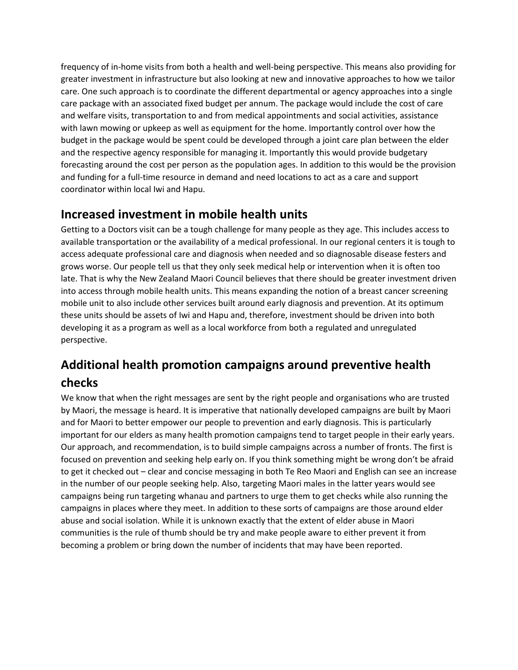frequency of in-home visits from both a health and well-being perspective. This means also providing for greater investment in infrastructure but also looking at new and innovative approaches to how we tailor care. One such approach is to coordinate the different departmental or agency approaches into a single care package with an associated fixed budget per annum. The package would include the cost of care and welfare visits, transportation to and from medical appointments and social activities, assistance with lawn mowing or upkeep as well as equipment for the home. Importantly control over how the budget in the package would be spent could be developed through a joint care plan between the elder and the respective agency responsible for managing it. Importantly this would provide budgetary forecasting around the cost per person as the population ages. In addition to this would be the provision and funding for a full-time resource in demand and need locations to act as a care and support coordinator within local Iwi and Hapu.

#### <span id="page-5-0"></span>**Increased investment in mobile health units**

Getting to a Doctors visit can be a tough challenge for many people as they age. This includes access to available transportation or the availability of a medical professional. In our regional centers it is tough to access adequate professional care and diagnosis when needed and so diagnosable disease festers and grows worse. Our people tell us that they only seek medical help or intervention when it is often too late. That is why the New Zealand Maori Council believes that there should be greater investment driven into access through mobile health units. This means expanding the notion of a breast cancer screening mobile unit to also include other services built around early diagnosis and prevention. At its optimum these units should be assets of Iwi and Hapu and, therefore, investment should be driven into both developing it as a program as well as a local workforce from both a regulated and unregulated perspective.

# <span id="page-5-1"></span>**Additional health promotion campaigns around preventive health checks**

We know that when the right messages are sent by the right people and organisations who are trusted by Maori, the message is heard. It is imperative that nationally developed campaigns are built by Maori and for Maori to better empower our people to prevention and early diagnosis. This is particularly important for our elders as many health promotion campaigns tend to target people in their early years. Our approach, and recommendation, is to build simple campaigns across a number of fronts. The first is focused on prevention and seeking help early on. If you think something might be wrong don't be afraid to get it checked out – clear and concise messaging in both Te Reo Maori and English can see an increase in the number of our people seeking help. Also, targeting Maori males in the latter years would see campaigns being run targeting whanau and partners to urge them to get checks while also running the campaigns in places where they meet. In addition to these sorts of campaigns are those around elder abuse and social isolation. While it is unknown exactly that the extent of elder abuse in Maori communities is the rule of thumb should be try and make people aware to either prevent it from becoming a problem or bring down the number of incidents that may have been reported.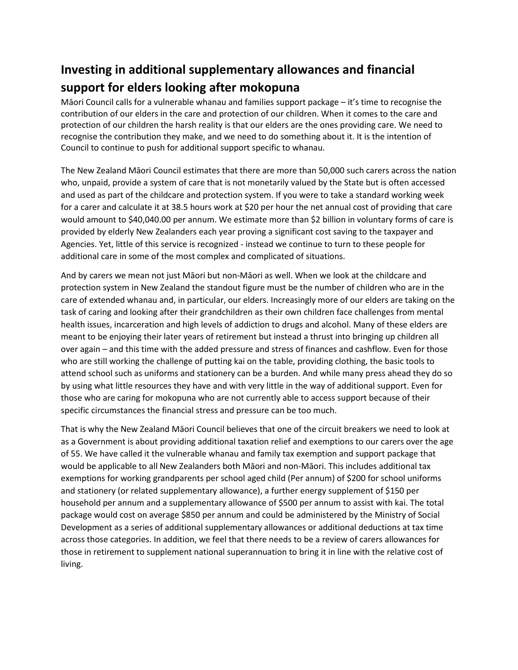# <span id="page-6-0"></span>**Investing in additional supplementary allowances and financial support for elders looking after mokopuna**

Māori Council calls for a vulnerable whanau and families support package – it's time to recognise the contribution of our elders in the care and protection of our children. When it comes to the care and protection of our children the harsh reality is that our elders are the ones providing care. We need to recognise the contribution they make, and we need to do something about it. It is the intention of Council to continue to push for additional support specific to whanau.

The New Zealand Māori Council estimates that there are more than 50,000 such carers across the nation who, unpaid, provide a system of care that is not monetarily valued by the State but is often accessed and used as part of the childcare and protection system. If you were to take a standard working week for a carer and calculate it at 38.5 hours work at \$20 per hour the net annual cost of providing that care would amount to \$40,040.00 per annum. We estimate more than \$2 billion in voluntary forms of care is provided by elderly New Zealanders each year proving a significant cost saving to the taxpayer and Agencies. Yet, little of this service is recognized - instead we continue to turn to these people for additional care in some of the most complex and complicated of situations.

And by carers we mean not just Māori but non-Māori as well. When we look at the childcare and protection system in New Zealand the standout figure must be the number of children who are in the care of extended whanau and, in particular, our elders. Increasingly more of our elders are taking on the task of caring and looking after their grandchildren as their own children face challenges from mental health issues, incarceration and high levels of addiction to drugs and alcohol. Many of these elders are meant to be enjoying their later years of retirement but instead a thrust into bringing up children all over again – and this time with the added pressure and stress of finances and cashflow. Even for those who are still working the challenge of putting kai on the table, providing clothing, the basic tools to attend school such as uniforms and stationery can be a burden. And while many press ahead they do so by using what little resources they have and with very little in the way of additional support. Even for those who are caring for mokopuna who are not currently able to access support because of their specific circumstances the financial stress and pressure can be too much.

That is why the New Zealand Māori Council believes that one of the circuit breakers we need to look at as a Government is about providing additional taxation relief and exemptions to our carers over the age of 55. We have called it the vulnerable whanau and family tax exemption and support package that would be applicable to all New Zealanders both Māori and non-Māori. This includes additional tax exemptions for working grandparents per school aged child (Per annum) of \$200 for school uniforms and stationery (or related supplementary allowance), a further energy supplement of \$150 per household per annum and a supplementary allowance of \$500 per annum to assist with kai. The total package would cost on average \$850 per annum and could be administered by the Ministry of Social Development as a series of additional supplementary allowances or additional deductions at tax time across those categories. In addition, we feel that there needs to be a review of carers allowances for those in retirement to supplement national superannuation to bring it in line with the relative cost of living.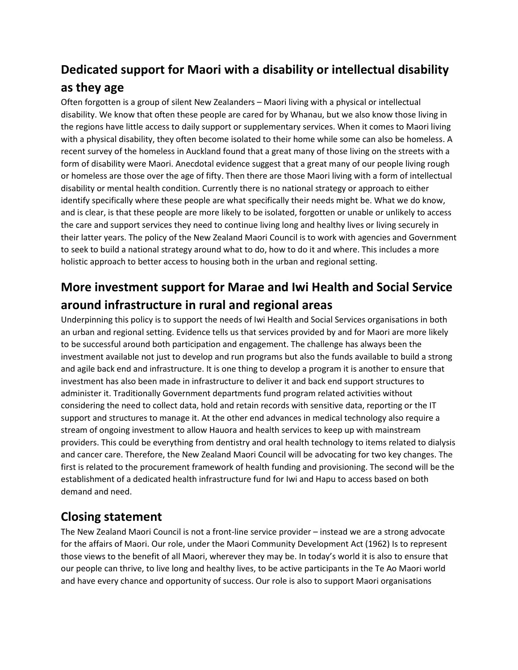# <span id="page-7-0"></span>**Dedicated support for Maori with a disability or intellectual disability as they age**

Often forgotten is a group of silent New Zealanders – Maori living with a physical or intellectual disability. We know that often these people are cared for by Whanau, but we also know those living in the regions have little access to daily support or supplementary services. When it comes to Maori living with a physical disability, they often become isolated to their home while some can also be homeless. A recent survey of the homeless in Auckland found that a great many of those living on the streets with a form of disability were Maori. Anecdotal evidence suggest that a great many of our people living rough or homeless are those over the age of fifty. Then there are those Maori living with a form of intellectual disability or mental health condition. Currently there is no national strategy or approach to either identify specifically where these people are what specifically their needs might be. What we do know, and is clear, is that these people are more likely to be isolated, forgotten or unable or unlikely to access the care and support services they need to continue living long and healthy lives or living securely in their latter years. The policy of the New Zealand Maori Council is to work with agencies and Government to seek to build a national strategy around what to do, how to do it and where. This includes a more holistic approach to better access to housing both in the urban and regional setting.

# <span id="page-7-1"></span>**More investment support for Marae and Iwi Health and Social Service around infrastructure in rural and regional areas**

Underpinning this policy is to support the needs of Iwi Health and Social Services organisations in both an urban and regional setting. Evidence tells us that services provided by and for Maori are more likely to be successful around both participation and engagement. The challenge has always been the investment available not just to develop and run programs but also the funds available to build a strong and agile back end and infrastructure. It is one thing to develop a program it is another to ensure that investment has also been made in infrastructure to deliver it and back end support structures to administer it. Traditionally Government departments fund program related activities without considering the need to collect data, hold and retain records with sensitive data, reporting or the IT support and structures to manage it. At the other end advances in medical technology also require a stream of ongoing investment to allow Hauora and health services to keep up with mainstream providers. This could be everything from dentistry and oral health technology to items related to dialysis and cancer care. Therefore, the New Zealand Maori Council will be advocating for two key changes. The first is related to the procurement framework of health funding and provisioning. The second will be the establishment of a dedicated health infrastructure fund for Iwi and Hapu to access based on both demand and need.

#### **Closing statement**

The New Zealand Maori Council is not a front-line service provider – instead we are a strong advocate for the affairs of Maori. Our role, under the Maori Community Development Act (1962) Is to represent those views to the benefit of all Maori, wherever they may be. In today's world it is also to ensure that our people can thrive, to live long and healthy lives, to be active participants in the Te Ao Maori world and have every chance and opportunity of success. Our role is also to support Maori organisations